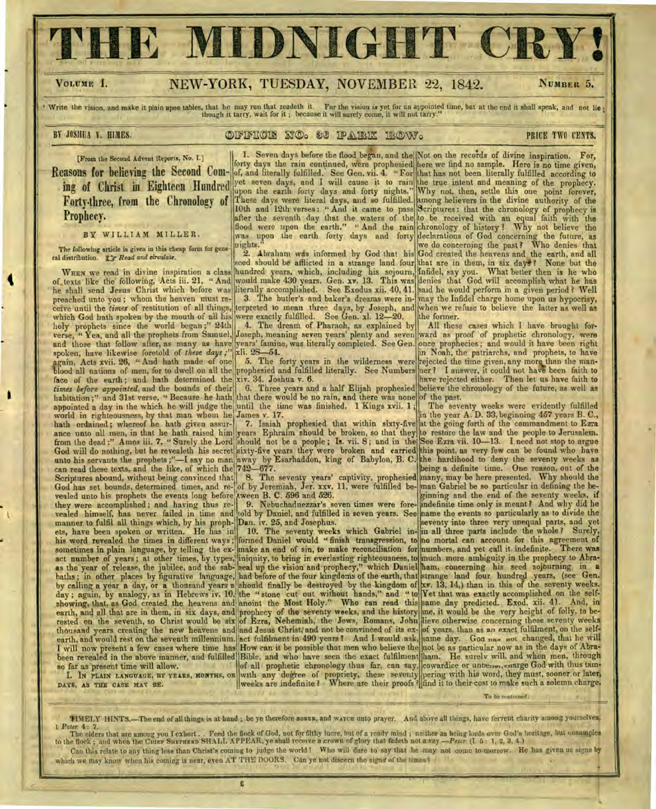IE MIDNIGHT CI

# VOLUME I. NEW-YORK, TUESDAY, NOVEMBER 22, 1842.

NUMBER 5.

Write the vision, and make it plain upon tables, that he may run that readeth it. For the vision is yet for an appointed time, but at the end it shall speak, and not lie; though it tarry, wait for it; because it will surel

### **BY JOSHUA Y. HIMES. A CONSTRUGIE IT OG SE IPAIRIX IROWS A CHAIR PRICE TWO CENTS.**

[From the Second Advent Reports, No. I.]

Reasons for believing the Second Com- $\|$ ing of Christ in Eighteen Hundred Forty three, from the Chronology of Prophecy.

## BY WILLIAM MILLER.

The following article is given in this cheap form for gene-The following article is given in this che<br>ral distribution.  $\exists f \text{ Read and circulate.}$ 

WHEN we read in divine inspiration a class of texts like the following, Acts iii. 21, "And he shall send Jesus Christ which before was preached unto you ; whom the heaven must receive until the *times* of restitution of all things, which God hath spoken by the mouth of all his holy prophets since the world began;" 24th verse, " Yea, and all the prophets from Samuel, and those that follow after, as many as have spoken, have likewise foretold of *these days ;"*  again, Acts xvii. 26, " And hath made of one blood all nations of men, for to dwell on all the face of the earth; and hath determined the *times before appointed,* and the bounds of their' habitation;" and 31st verse, " Because he hath appointed a day in the which he will judge the world in righteousness, by that man whom he bath ordained ; whereof he hath given assurance unto all men, in that he hath raised him they were accomplished ; and. having thus revealed himself, has never failed in time and manner to fulfil all things which, by his prophets, have been spoken or written. He has in his word revealed the times in different ways ; sometimes in plain language, by telling the exact number of years ; at other times, by types, as the year of release, the jubilee, and the sab-God will do nothing, but he revealeth his secret sixty-five years they were broken and carried can read these texts, and the like, of which the 742-677. Scriptures abound, without being convinced that | 8. The seventy years' captivity, prophesied God has set bounds, determined times, and re-[of by Jeremiah, Jer. xxv. 11, were fulfilled bevealed unto his prophets the events long before tween B. C. 596 and 526. baths ; in other places by figurative language, had before of the four kingdoms of the earth, that by calling a year a day, or a thousand years a should finally be destroyed by the kingdom of day; again, by analogy, as in Hebrews iv. 10, the " stone cut out without hands," and " to showing, that, as God created the heavens and anoint the Most Holy." Who can read this earth, and all that are in them, in six days, and prophecy of the seventy weeks, and the history rested on the seventh, so Christ would be six of Ezra, Nehemiah, the Jews, Romans, John thousand years creating the new heavens and and Jesus Christ, and not be convinced of its exbeen revealed in the above manner, and fulfilled so far as present time will allow.

**I.** IN PLAIN LANGUAGE, BY YEARS, MONTHS, OR DAYS, AS THE CASE MAY BE.

1. Seven days before the flood began, and the forty days the rain continued, Were prophesied of, and literally fulfilled. See Gen. vii. 4. "For yet seven days, and I will cause it to rain upon the earth forty days and forty nights." These days were literal days, and so fulfilled. 10th and 12th verses: "And it came to pass after the seventh day that the waters of the flood were upon the earth." " And the rain was upon the earth forty days and forty nights."

2. Abraham was informed by God that his seed should be afflicted in a strange land four hundred years, which, including his sojourn, would make 430 years. Gen. xv. 13. This was literally accomplished. See Exodus xii. 40, 41. 3. The butler's and baker's dreams were interpreted to mean three days, by Joseph, and

were exactly fulfilled. See Gen. xl. 12-20. 4. The dream of Pharaoh, as explained by Joseph, meaning seven years' plenty and seven years' famine, was literally completed. See Gen. xli. 28-54.

5. The forty years in the wilderness were prophesied and fulfilled literally. See Numbers xiv. 34. Joshua v. 6.

6. Three years and a half Elijah prophesied that there would be no rain, and there was none until the time was finished. 1 Kings xvii. 1; James v. 17.

7. Isaiah prophesied that within sixty-five years Ephraim should be broken, so that they from the dead;" Amos iii. 7, "Surely the Lord should not be a people; Is. vii. 8; and in the unto his servants the prophets ;"—I say no man !away by Esarhaddon, king of Babylon, B. C.

9. Nebuchadnezzar's seven times were foretold by Daniel, and fulfilled in seven years. See Dan. iv. 25, and Josephus.

of all prophetic chronology thus far, can say, with any degree of propriety, these seventy weeks are indefinite ? Where are their proofs ? 10. The seventy weeks which Gabriel informed Daniel would " finish transgression, to make an end of sin, to make reconciliation for iniquity, to bring in everlasting righteousness, to seal up the vision and prophecy," which Daniel earth, and would rest on the seventh millennium. act fulfilment in 490 years ? And I would ask, I will now present a few cases where time has How can it be possible that men who believe the

Not on the records of divine inspiration. For, here we find no sample. Here is no time given, that has not been literally fulfilled according to the true intent and meaning of the prophecy. Why not, then, settle this one point forever, mong believers in the divine authority of the Scriptures: that the chronology of prophecy is to be received with an equal faith with the -hronology of history ? Why not believe the eclarations of God concerning the future, as we do concerning the past? Who denies. that God created the heavens and the earth, and all that are in them, in six days? None but the Infidel, say you. What better then is he who denies that God will accomplish what he has said he would perform in a given period ? Well may the Infidel charge home upon us hypocrisy, when we refuse to believe the latter as well as

the former. All these cases which I have brought forward as proof of prophetic chronology, were once prophecies ; and would it have been right in Noah, the patriarchs, and prophets, to have rejected the time given, any more than the manner ? I answer, it could not have been faith to have rejected either. Then let us have faith to believe the chronology of the future, as well as of the past.

The seventy weeks were evidently fulfilled in the year A. D. 33, beginning 457 years B. C., at the going forth of the commandment to Ezra to restore the law and the people to Jerusalem. See Ezra vii. 10-13. I need not stop to argue this point, as very few can be found who have he hardihood to deny the seventy weeks as eing a definite time. One reason, out of the nany, may be here presented. Why should the man Gabriel be so particular in defining the beginning and the end of the seventy weeks, if indefinite time only is meant ? And why did he lame the events so particularly as to divide the seventy into three very unequal parts, and yet

in all three parts include the whole ? Surely, no mortal can account for this agreement of numbers, and yet call it indefinite. There was much more ambiguity in the prophecy to Abraham, concerning his seed sojourning in *a*  strange land four hundred years, (see Gen. Xv. 13, 14,) than in this of the seventy weeks. Yet that was exactly accomplished on the selfsame day predicted. Exod. xii. 41. And, in me, it would be the very height of folly, to believe otherwise concerning these seventy weeks of years, than as an exact fulfilment, on the selfsame day. Goa nas not changed, that he will not be as particular now as in the days of Abra-Bible, and who have seen the exact fulfilment ham. He surely will and when men, through cowardice or unnerron, enarge God with thus tampering with his word, they must, sooner or later, find it to their cost to make such a solemn charge.

To be continued.

TIMELY HINTS.—The end of all things is at hand; be ye therefore sonen, and warcu unto prayer. And above all things, have ferrent charity among yourselves. I *Peter* 4 : 7.

The elders that are among you I exhort. . Feed the flock of God, not for filthy lucre, but of a ready mind; neither as being lords over God's heritage, but ensamples<br>to the flock; and when the CHIEF SHEPHERD SHALL APPEAR, Can this relate to any thing less than Christ's coming to judge the world ? Who will dare to say that he may not come to morrow. He has given us signs by which we may know when his coming is near, even AT THE DOORS. Can ye not discern the signs of the times?

e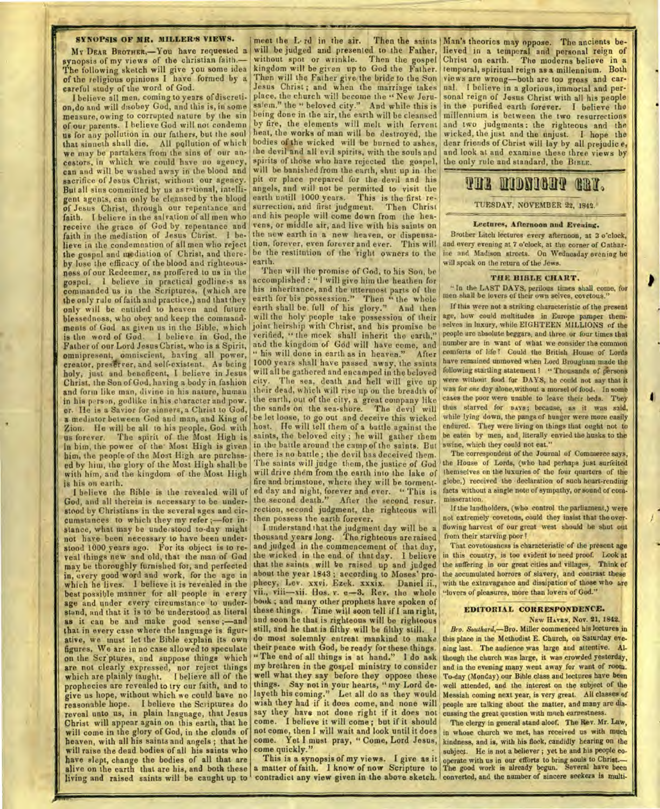### **SYNOPSIS OF MR. MILLER'S VIEWS.**

My **DEAR BROTHER,—You** have requested a synopsis of my views of the christian faith.— The following sketch will give you some idea of the religious opinions I have formed by a careful study of the word of God.

I believe all men, coming to years of discretion,do and will disobey God, and this is, in some measure, owing to corrupted nature by the sin of our parents. I believe God will not condemn us for any pollution in our fathers, but the soul that sinneth shall die. All pollution of which we may be partakers from the sins of our ancestors, in which we could have no agency, can and will be washed away in the blood and sacrifice of Jesus Christ, without our agency. But all sins committed by us as rational, intelligent agents, can only be cleansed by the blood of Jesus Christ, through our repentance and faith. I believe in the salvation of all men who receive the grace of God by repentance and faith in the mediation of Jesus Christ. I believe in the condemnation of all men who reject the gospel and mediation of Christ, and thereby lose the efficacy. of the blood and righteousness of our Redeemer, as proffered to us in the gospel. I believe in practical godline,s as commanded us in the Scriptures, (which are the only rule of faith and practice,) and that they only will be entitled to heaven and future blessedness, who obey and keep the commandments of God as given us in the Bible, which is the word of God. 1 believe in God, the Father of our Lord Jesus Christ, who is a Spirit, omnipresent, omniscient, having all power, creator, preserver, and self-existent. As being holy, just and beneficent, I believe in Jesus Christ, the Son of God, having a body in fashion and form like man, divine in his nature, human in his person, godlike in his character and pow. er. Ile is a Savior for sinners, a Christ to God, a mediator between God and man, and Ring of Zion. He will be all to his people, God with us forever. The spirit of the Most High is in him, the power of the Most High is given him, the people of the Most High are purchased by him, the glory of the Most High shall be with him, and the kingdom of the Most High is his on earth.

I believe the Rible is the revealed will of God, and all therein is necessary to be understood by Christians in the several ages and circumstances to which they my refer ;—for instance, what may be understood to-day might not have been necessary to have been understood 1000 years ago. For its object is to reveal things new and old, that the man of God may be thoroughly furnished for, and perfected in, every good word and work, for the age in which he lives. I believe it is revealed in the best possible manner for all people in every age and under every circumstance to understand, and that it is to be understood as literal as it can be and make good sense ;—and that in every case where the language is figurative, we must let the Bible explain its own figures. We are in no case allowed to speculate on the Scriptures, and suppose things which are not clearly expressed, nor reject things which are plainly taught. I believe all of the prophecies are revealed to try our faith, and to give us hope, without which we could have no reasonable hope. I believe the Scriptures do reveal unto us, in plain language, that Jesus Christ will appear again on this earth, that he will come in the glory of God, in the clouds of heaven, with all his saints and angels ; that he will raise the dead bodies of all his saints who have slept, change the bodies of all that are alive on the earth that are his, and both these living and raised saints will be caught up to contradict any view given in the above sketch. converted, and the number of sincere seekers is multi-

meet the L<sub>'Id</sub> in the air. Then the saints | Man's theories may oppose. The ancients bewill be judged and presented to the Father, without spot or wrinkle. Then the gospel kingdom will be given up to God the Father. Then will the Father give the bride to the Son Jesus Christ ; and when the marriage takes place, the church will become the " New Jerusalem," the " beloved city." And while this is being done in the air, the earth will be cleansed by fire, the elements will melt with fervent heat, the works of man will be destroyed, the bodies of the wicked will be burned to ashes, the devil and all evil spirits, with the souls and spirits of those who have rejected the gospel, will be banished from the earth, shut up in the pit or place prepared for the devil and his angels, and will not be permitted to visit the earth untill 1000 years. This is the first resurrection, and first judgment. Then Christ and his people will come down from the heavens, or middle air, and live with his saints on the new earth in a new heaven, or dispensation, forever, even forever and ever. This will be the restitution of the right owners to the earth.

**IIMPr VCR Mir** 

Then will the promise of God, to his Son, be accomplished : " I will give him the heathen for his inheritance, and the uttermost parts of the earth for bis possession." Then "the whole earth shall be full of his glory." And then will the holy people take possession of their joint heirship with Christ, and his promise be verified, " the meek shall inherit the earth," arid the kingdom of God will have come, and " his will done in earth as in heaven." After 1000 years shall have passed away, the saints will all be gathered and encamped in the beloved city. The sea, death and hell will give up their dead, which will rise up on the breadth of the earth, out of the city, a great company like the sands on the sea-shore. The devil will<br>be let loose, to go out and deceive this wicked in the battle around the camp of the saints. But there is no battle ; the devil has deceived them. The saints will judge them, the justice of God will drive them from the earth into the lake of saints, the beloved city; he will gather them fire and brimstone, where they will be tormented day and night, forever and ever. " This is facts without a single note of sympathy, or sound of com-<br>the second death." After the second resure misseration. the second death." After the second resurrection, second judgment, the righteous will then possess the earth forever.

I understand that the judgment day will be a thousand years long. The righteous are raised and judged in the commencement of that day, the wicked in the end of that day. I believe that the saints will be raised up and judged<br>about the year 1843; according to Moses' prophecy, Lev. xxvi. Ezek. xxxix. Daniel ii., with the extravagance and dissipation of those wii., viii—xii. Hos. v. e-3. Rev. the whole who are of pleasures, more than lovers of God." vii., viii-xii. Hos. v. e-3. Rev. the whole book ; and many other prophets have spoken of these things. Time will soon tell if I am right, **EDITORIAL CORRESPONDENCE.**  and soon he that is righteous will be righteous New HAVEN, Nov. 21, 1842.<br>
still, and he that is filthy will be filthy still. 1 Bro. Southard, Bro. Miller commenced his lectures in still, and he that is filthy will be filthy still. <sup>1</sup> do most solemnly entreat mankind to make

come. I believe it will come; but if it should The clergy in general stand aloof. The Rev. Mr. Law, come. Yet I must pray, " Come, Lord Jesus, come quickly.'

This is a synopsis of my views. I give as it

lieved in a temporal and personal reign of Christ on earth. The moderns believe in a temporal, spiritual reign as a millennium. Both views are wrong—both are too gross and carnal. I believe in a glorious, immortal and personal reign of Jesus Christ with all his people in the purified earth forever. I believe the millennium is between the two resurrections and two judgments: the righteous and the wicked, the just and the unjust. I hope the dear friends of Christ will lay by all prejudic *e,*  and look at and examine these three views by the only rule and standard, the **BIBLE.** 

# **Vail MORIN III**

TUESDAY, NOVEMBER 22, 1842.

#### Lectures, Afternoon **and** Evening.

Brother Litch lectures every afternoon, at 3 o'clock, and every evening at 7 o'clock, at the corner of Catharine and Madison streets. On Wednesday evening he will speak on the return of the Jews.

### **THE BIBLE CHART.**

"In the LAST DAYS, perilous times shall come, for men shall be lovers of their own selves, covetous."

If this were not a striking characteristic of the present age, how could multitudes in Europe pamper themselves in luxury, while EIGHTEEN MILLIONS of the people are absolute beggars, and three or four times that number are in want of what we consider the common comforts of life I Could the British House of Lords have remained unmoved when Lord Brougham made the following startling statement ? " Thousands of persons were without food for DAYS, he could not say that it was for *one* day alone,without a morsel of food. In some cases the poor were unable to leave their beds. They thus starved for pays; because, as it was said, while lying down, the pangs of hunger were more easily host. He will tell them of a battle against the endured. They were living on things that ought not to saints, the beloved city; he will esther them be eaten by men, and literally envied the husks to the swine, which they could not eat."

The correspondent of the Journal of Commerce says, the House of Lords, (who had perhaps just surfeited themselves on the luxuries of the four quarters of the globe.) received the declaration of such heart-rending

If the landholders, (who control the parliament,) were not extremely covetous, could they insist that the overflowing harvest of our great west should be shut out from their starving poor!

That covetousness is characteristic of the present age in this country, is too evident to need proof. Look at the suffering in our great cities and villages, Think of the accumulated horrors of slavery, and contrast these with the extravagance and dissipation of those who are

do most solemnly entreat mankind to make this place in the Methodist E. Church, on Saturday eve-<br>their peace with God, be ready for these things. aing last. The andience was large and attentive. Altheir peace with God, be ready for these things. ning last. The audience was large and attentive. Al-<br>"The end of all things is at hand." I do ask though the church was large, it was crowded yesterday, "The end of all things is at hand." I do ask though the church was large, it was crowded yesterday,<br>my brethren in the gospel ministry to consider and in the evening many went away for want of room. and in the evening many went away for want of room. well what they say before they oppose these To-day (Monday) our Bible class and lectures have been things. Say not in your hearts, "my Lord de- well attended, and the interest on the subject of the layeth his coming." Let all do as they would Messiah coming next year, is very great. All classes of wish they had if it does come, and none will people are talking about the matter, and many are dissay they have not done layeth his coming." Let all do as they would Messiah coming next year, is very great. All classes of wish they had if it does come, and none will people are talking about the matter, and many are dissay they have not done

not come, then I will wait and look until it does in whose church we met, has received us with much a matter of faith. I know of now Scripture to The good work is already begun. Several have been kindness, and is, with his flock, candidly hearing on the subject. He is not a believer; yet he and his people cooperate with us in our eflbrts to bring souls to Christ.—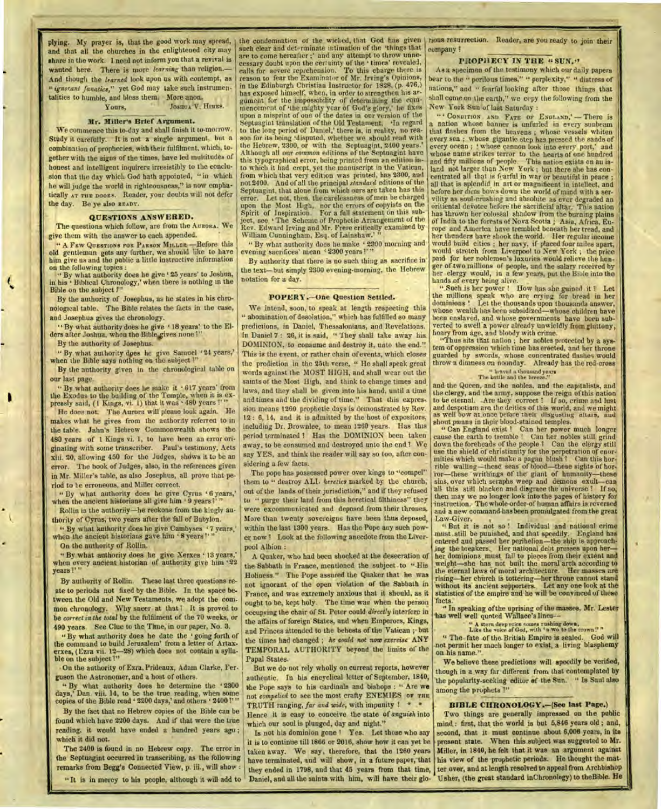and that all the churches in the enlightened city may share in the work. I need not inform you that a revival is wanted here. There is more *learning* than religion.— And though the *learned* look upon us with contempt, as *"ignorant fanatics,"* yet God may take such instrumentalities to humble, and bless them. More anon.

Yours, **JOSHUA V. HIMES.** 

#### **Mr. Miller's Brief Argument.**

**We** commence this to-day and shall finish it to-morrow. Study it carefully. It is not a single argument, but **a**  combination of prophecies, with their fulfilment, which, together with the signs of the times, have led multitudes of honest and intelligent inquirers irresistibly to the conclusion that the day which God hath appointed, " in which he will judge the world in righteousness," is now emphatically AT THE DOORS. Reader, your doubts will not defer the day. Be ye also **READY.** 

### **QUESTIONS ANSWERED.**

The questions which follow, are from the **AURORA.** We give them with the answer to each appended.

**" A FEW QUESTIONS FOR PARSON MILLER** —Before this old gentleman gets any further, we should like to have him give us and the public a little instructive information on the following topics :

" By what authority does he give ' 25 years' to Joshua, in his ' Biblical Chronology,' when there is nothing in the Bible on the subject ?"

By the authority of Josephus, as he states in his chronological table. The Bible relates the facts in the case, and Josephus gives the chronology.

" By what authority does he give 18 years' to the El-ders after Joshua, when the Bible gives none?"

By the authority of Josephus.

" By what authority dpes lie give Samuel 24 years,' when the Bible says nothing on the subject 1"

By the authority given in the chronological table on our last page.

" By what authority does he make it '617 years' from the Exodus to the building of the Temple, when it is ex-<br>pressly said, (1 Kings, vi. 1) that it was  $480$  years!<sup>1</sup>

He does not. The Aurora will please look again. He makes what he gives from the authority referred to in the table. **Jahn's** Hebrew Commonwealth shows the 480 years of 1 Kings vi. 1, to have been an error originating with some transcriber. Paul's testimony, Acts xiii. 20, allowing 450 for the Judges, shdws it to be an error. The hook of Judges, also, in the references given **in Mr.** Miller's table, as also Josephus, all prove that period to be erroneous, and Miller correct.

" By what authority does he give Cyrus '6 years,' when the ancient historians all give him ' 9 years?'

Rollin is the authoriiy—he reckons from the kingly authority of Cyrus, two years after the fall of Babylon.

" By what authority does he give Cambyses '7 years,' when the ancient historians gave him '8 years?'"

On the authority of Rollin.

" By what authority does he give Xerxes 13 years,' when every ancient historian of authority give him years "

By authority of Rollin. These last three questions reate to periods not fixed by the Bible. In the space between the Old and New Testaments, we adopt the common chronology. Why sneer at that <sup>7</sup> It is proved to **be** *correct in the total* by the fulfilment of the 70 weeks, or 490 years. See Clue to the Time, in our paper, No. 3.

" By what authority does he date the going forth of the command to build Jerusalem' from a letter of Artaxerxes, (Ezra vii. 12-28) which does not contain a syllable on the subject ?"

On the authority of Ezra, Prideaux, Adam Clarke, Ferguson the Astronomer, and a host of others.

" By what authority does he determine the '2300 days,' Dan. viii. 14, to be the true reading, when some copies of the Bible read  $42200$  days,' and others  $2400$ !'"

By the fact that no Hebrew copies of the Bible can be found which have 2200 days. And if that were the true reading, it would have ended a hundred years ago ; which it did not.

The 2400 is found in no Hebrew copy. The error in the Septuagint occurred in transcribing, as the following remarks from Begg's Connected View, p. iii., will show :

plying. My prayer is, that the good work may spread, | the condemnation of the wicked, that God has given | rious resurrection. Reader, are you ready to join their such clear and determinate intimation of the 'things that' are to come hereafter ;' and any attempt to throw unne-<br>cessary doubt upon the certainty of the ' times' revealed,<br>calls for severe reprehension. To this charge there is reason to fear the Examinator of Mr. Irving's Opinions, in the Edinburgh Christian Instructor for 1828, (p. 476,) has exposed himself, when, in order to strengthen his argument for the impossibility of determining the commencement of 'the mighty year of God's glory,' lie fixes upon a misprint of one of the dates in our version of the Septuagint translation of the Old Testament. 'In regard to the long period of Daniel,' there is, in reality, no reason for its being 'disputed, whether we should read with Hebrew, 2300, or with the Septuagint, 2400 years. Although all our *common* editions of the Septuagint have this typographical error, being printed from an edition into which it had crept, yet the manuscript in the Vatican, from which that very edition was printed, has 2300, and not 2400. And of all the principal *standard* editions of the Septuagint, that alone from which ours are taken has this error. Let not, then, the carelessness of men be charged upon the Most High, nor the errors of copyists on the Spirit of Inspiration. For a full statement on this subject, see  $\cdot$  The Scheme of Prophetic Arrangement of the Rev. Edward Irving and Mr. Frere critically examined by William Cunningham, Esq. of Lainshaw.' "

" By what authority does he make  $+2300$  morning and evening sacrifices' mean  $+2300$  years  $1''$ ."

By authority that there is no such thing as sacrifice in the text—but simply 2300 evening-morning, the Hebrew notation for a day.

#### **POPERY.—One Question Settled.**

We intend, soon, to speak at length respecting this " abomination of desolation," which has fulfilled so many predictions, in Daniel, Thessalonians, and Revelations. In Daniel 7 : 26, it is said, " They shall take away his DOMINION, to consume and destroy it, unto the end." This is the event, or rather chain of events, which closes the prediction in the 25th verse, " He shall speak great words against the MOST HIGH, and shall wear out the saints of the Most High, and think to change times and laws, and they shall be given into his hand, until a time and times and the dividing of time." That this expression means 1260 prophetic days is demonstrated by Rev. 12 : 6, 14, and it is admitted by the host of expositors, including Dr. Brownlee, to mean 1260 years. Has this period terminated ? Has the DOMINION been taken away, to be consumed and destroyed unto the end 1 We say YES, and think the reader will say so too, after considering a few facts.

The pope has possessed power over kings to "compel" them to " destroy ALL *heretics* marked by the church, out of the lands of their jurisdiction," and if they refused to " purge their land from this heretical filthiness" they were excommunicated and deposed from their thrones. More than twenty sovereigns have been thus deposed, within the last 1300 years. Has the Pope any such power now I Look at the following anecdote from the Liverpool Albion :

A Quaker, who had been shocked at the desecration of the Sabbath in France, mentioned the subject to " His Holiness." The Pope assured the Quaker that he was not ignorant of the open violation of the Sabbath in France, and was extremely anxious that it should, as it ought to be, kept holy. The time was when the person occupying the chair of St. Peter could *directly* interfere in the affairs of foreign States, and when Emperors, Kings, and Princes attended to the behests of the Vatican ; but the times had changed ; he *could not now exercise* ANY TEMPORAL AUTHORITY beyond the limits of the Papal States.

But we do not rely wholly on current reports, however authentic. In his encyclical letter of September, 1840, the Pope says to his cardinals and bishops : " Are we not *complied* to see the most crafty ENEMIES **OF** THE TRUTH ranging, far and wide, with impunity ? \* Hence it is easy to conceive the state of *anguish* into which our soul is plunged, day and night."

Is not his dominion gone I Yes. Let those who say it is to continue till 1866 or 2016, show how it can yet be taken away. We say, therefore, that the 1260 years have terminated, and will show, in a future paper, that "It is in mercy to his people, although it will add to Daniel, and all the saints with him, will have their glo- Usher, (the great standard inChronology) to theBible. He

company ?

#### **PROPHECY IN THE <b>"SUN."**

As a specimen of the testimony which our daily papers bear to the " perilous times," " perplexity," " distress of nations," and " fearful looking after those things that shall come on the earth," we cepy the following from the New York Sun of last Saturday :

" **CONDITION ANT) FATE OF ENGLAND,' —** There is a nation whose banner is unfurled in every sunbeam that flashes from the heavens ; whose vessels whiten every sea ; whose gigantic step has pressed the sands of every ocean ; whose cannon look into every port,' and whose name strikes terror to the hearts of one hundred and fifty millions of people. This nation exists on au is-land not larger than New York ; but there she has concentrated all that is fearful in war or beautiful in peace all that is splendid in art or magnificent in intellect, and before her *dictu* bows down the world of mind with a servility as soul-crushing and absolute as ever degraded an oritiental devotee before the sacrificial altar. This nation has thrown her colossal shadow from the burning plains of India to the forests of Nova Scotia ; Asia, Africa, Europe and America have trembled beneath her tread, and her thunders have shook the world. Her regular income would build cities ; her navy. if placed four miles apart, would stretch from Liverpool to New York ; the price paid for her noblemen's luxuries would relieve the hunger of two millions of people, and the salary received by her clergy would, in a few years, put the Bible into the hands of every being alive.

" Such is her power ! How has she gained it ? Let the millions speak who are crying for bread in her dominions ! Let. the thousands upon thousands answer, whose wealth has been subsidized—whose children have been enslaved, and whose governments have been subverted to swell a power already unwieldly from gluttony, hoary from age, and bloody with crime.

"Thus sits that nation ; her nobles protected by a system of oppression which time has erected, and her throne guarded by swords, whose concentrated flashes would throw a dimness on noonday. Already has the red-cross

# " braved a thousand years The battle and the breeze."

and the Queen, and the nobles. and the capitalists, and the clergy, and the army, suppose the reign of this nation<br>to be eternal. Are they correct ! If so, crime and lust<br>and despotism are the deities of this world, and we might as well bow at once before their disgusting altars, and shout weans in their blood-stained temples.

" Can England exist ? Can her power much longer cause the earth to tremble ? Can her nobles still grind down the foreheads of the people I Can the clergy still use the shield of christianity for the perpetration of enormities which would make a pagan blush '! Can this horrible wailing—these seas of blood—these sights of horror—these writhings of the giant of humanity—these sins, over which seraphs weep and demons exult—can all this still blacken and disgrace the universe ? then may we no longer look into the pages of history for instruction. The whole order-of human affairs is reversed and a new command has been promulgated from the great Law-Giver,<br>"But it is not so ! Individual and national crime"

must still be punished, and that speedily. England has entered and passed her perihelion—the ship is approach-ing the breakers. Her national debt presses upon her her dominions must fall to pieces from their extent and weight—she has not built the moral arch according to the eternal laws of moral architecture. Her masses are rising—her church is tottering—her throne cannot stand<br>without its ancient supporters. Let any one look at the statistics of the empire and he will be convinced of these<br>facts.

" In speaking of the uprising of the masses, Mr. Lester has well well quoted Wallace's lines--

en quincul wanace sumes --<br>" A stern deep voice somes rushing down.<br>Like the voice of God, with 'a wo to the crown!" "

" The fate of the British Empire is sealed. God **will**  not permit her much longer to exist, a living blasphemy on his name."

We believe these predictions will speedily be verified, though in a way far different from that contemplated by the popularity-seeking editor of the Sun. " Is Saul also among the prophets 1"

#### **BIBLE CHRONOLOGY.—(See last Page.)**

they ended in 1798, and that 45 years from that time, ter over, and at length resolved to appeal from Archbishop Two things are generally impressed on the public mind : first, that the world is but 5,846 years old ; and, second, that it must continue about 6,000 years, in its present **state.** When this subject was suggested to Mr. Miller, in 1840, he felt that it was an argument against his view of the prophetic periods. He thought the mat